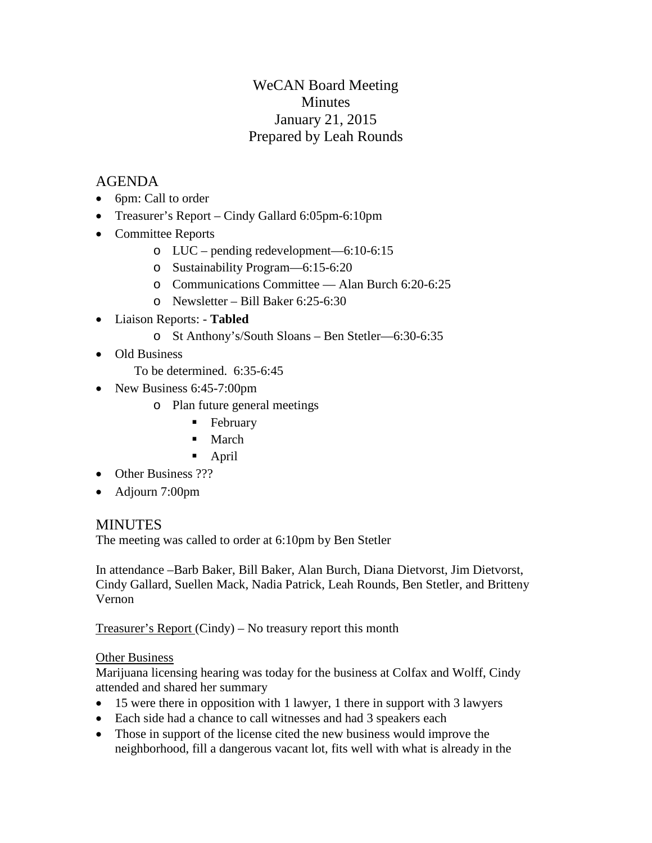# WeCAN Board Meeting **Minutes** January 21, 2015 Prepared by Leah Rounds

## AGENDA

- 6pm: Call to order
- Treasurer's Report Cindy Gallard 6:05pm-6:10pm
- Committee Reports
	- o LUC pending redevelopment—6:10-6:15
	- o Sustainability Program—6:15-6:20
	- o Communications Committee Alan Burch 6:20-6:25
	- o Newsletter Bill Baker 6:25-6:30
- Liaison Reports: **Tabled**
	- o St Anthony's/South Sloans Ben Stetler—6:30-6:35
- Old Business
	- To be determined. 6:35-6:45
- New Business 6:45-7:00pm
	- o Plan future general meetings
		- **February**
		- March
		- April
- Other Business ???
- Adjourn 7:00pm

## **MINUTES**

The meeting was called to order at 6:10pm by Ben Stetler

In attendance –Barb Baker, Bill Baker, Alan Burch, Diana Dietvorst, Jim Dietvorst, Cindy Gallard, Suellen Mack, Nadia Patrick, Leah Rounds, Ben Stetler, and Britteny Vernon

Treasurer's Report (Cindy) – No treasury report this month

### Other Business

Marijuana licensing hearing was today for the business at Colfax and Wolff, Cindy attended and shared her summary

- 15 were there in opposition with 1 lawyer, 1 there in support with 3 lawyers
- Each side had a chance to call witnesses and had 3 speakers each
- Those in support of the license cited the new business would improve the neighborhood, fill a dangerous vacant lot, fits well with what is already in the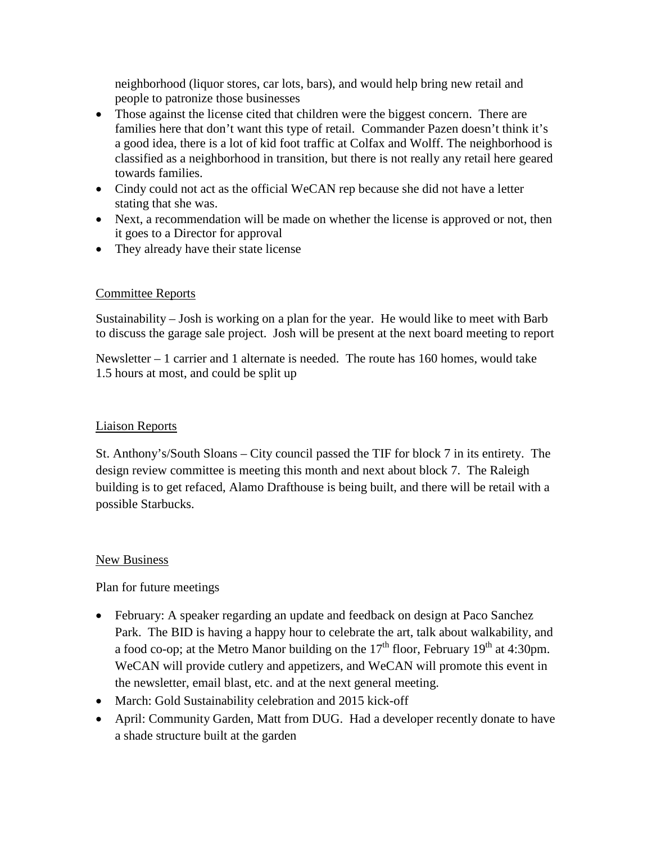neighborhood (liquor stores, car lots, bars), and would help bring new retail and people to patronize those businesses

- Those against the license cited that children were the biggest concern. There are families here that don't want this type of retail. Commander Pazen doesn't think it's a good idea, there is a lot of kid foot traffic at Colfax and Wolff. The neighborhood is classified as a neighborhood in transition, but there is not really any retail here geared towards families.
- Cindy could not act as the official WeCAN rep because she did not have a letter stating that she was.
- Next, a recommendation will be made on whether the license is approved or not, then it goes to a Director for approval
- They already have their state license

## Committee Reports

Sustainability – Josh is working on a plan for the year. He would like to meet with Barb to discuss the garage sale project. Josh will be present at the next board meeting to report

Newsletter – 1 carrier and 1 alternate is needed. The route has 160 homes, would take 1.5 hours at most, and could be split up

## Liaison Reports

St. Anthony's/South Sloans – City council passed the TIF for block 7 in its entirety. The design review committee is meeting this month and next about block 7. The Raleigh building is to get refaced, Alamo Drafthouse is being built, and there will be retail with a possible Starbucks.

### New Business

Plan for future meetings

- February: A speaker regarding an update and feedback on design at Paco Sanchez Park. The BID is having a happy hour to celebrate the art, talk about walkability, and a food co-op; at the Metro Manor building on the  $17<sup>th</sup>$  floor, February  $19<sup>th</sup>$  at 4:30pm. WeCAN will provide cutlery and appetizers, and WeCAN will promote this event in the newsletter, email blast, etc. and at the next general meeting.
- March: Gold Sustainability celebration and 2015 kick-off
- April: Community Garden, Matt from DUG. Had a developer recently donate to have a shade structure built at the garden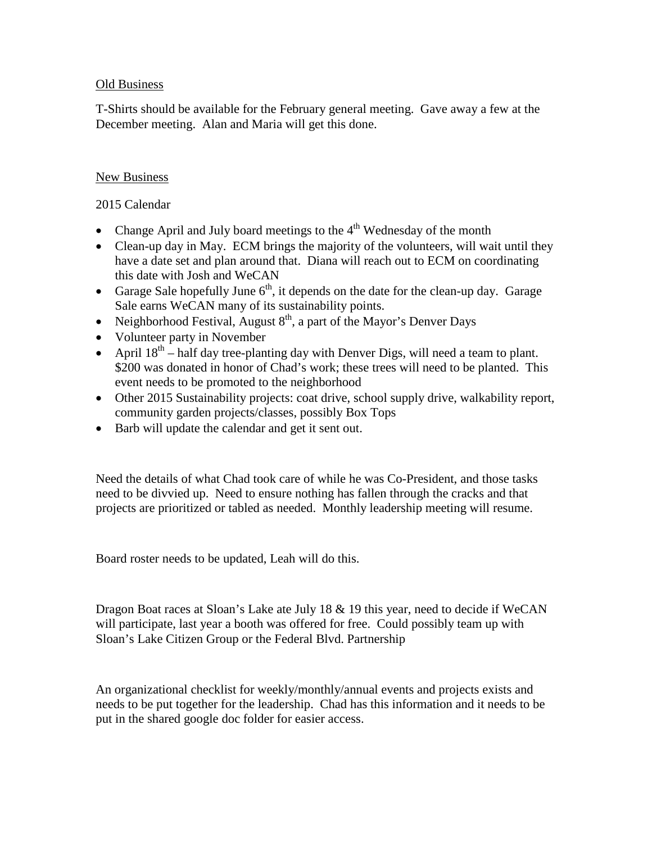#### Old Business

T-Shirts should be available for the February general meeting. Gave away a few at the December meeting. Alan and Maria will get this done.

#### New Business

2015 Calendar

- Change April and July board meetings to the  $4<sup>th</sup>$  Wednesday of the month
- Clean-up day in May. ECM brings the majority of the volunteers, will wait until they have a date set and plan around that. Diana will reach out to ECM on coordinating this date with Josh and WeCAN
- Garage Sale hopefully June  $6<sup>th</sup>$ , it depends on the date for the clean-up day. Garage Sale earns WeCAN many of its sustainability points.
- Neighborhood Festival, August  $8<sup>th</sup>$ , a part of the Mayor's Denver Days
- Volunteer party in November
- April  $18^{th}$  half day tree-planting day with Denver Digs, will need a team to plant. \$200 was donated in honor of Chad's work; these trees will need to be planted. This event needs to be promoted to the neighborhood
- Other 2015 Sustainability projects: coat drive, school supply drive, walkability report, community garden projects/classes, possibly Box Tops
- Barb will update the calendar and get it sent out.

Need the details of what Chad took care of while he was Co-President, and those tasks need to be divvied up. Need to ensure nothing has fallen through the cracks and that projects are prioritized or tabled as needed. Monthly leadership meeting will resume.

Board roster needs to be updated, Leah will do this.

Dragon Boat races at Sloan's Lake ate July 18 & 19 this year, need to decide if WeCAN will participate, last year a booth was offered for free. Could possibly team up with Sloan's Lake Citizen Group or the Federal Blvd. Partnership

An organizational checklist for weekly/monthly/annual events and projects exists and needs to be put together for the leadership. Chad has this information and it needs to be put in the shared google doc folder for easier access.